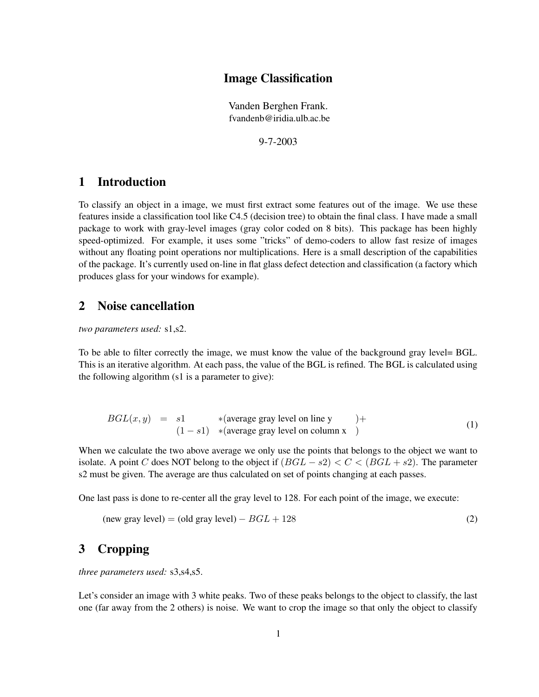#### **Image Classification**

Vanden Berghen Frank. fvandenb@iridia.ulb.ac.be

9-7-2003

#### **1 Introduction**

To classify an object in a image, we must first extract some features out of the image. We use these features inside a classification tool like C4.5 (decision tree) to obtain the final class. I have made a small package to work with gray-level images (gray color coded on 8 bits). This package has been highly speed-optimized. For example, it uses some "tricks" of demo-coders to allow fast resize of images without any floating point operations nor multiplications. Here is a small description of the capabilities of the package. It's currently used on-line in flat glass defect detection and classification (a factory which produces glass for your windows for example).

### **2 Noise cancellation**

*two parameters used:* s1,s2.

To be able to filter correctly the image, we must know the value of the background gray level= BGL. This is an iterative algorithm. At each pass, the value of the BGL is refined. The BGL is calculated using the following algorithm (s1 is a parameter to give):

$$
BGL(x, y) = s1 * (average gray level on line y) +
$$
  
(1 - s1) \* (average gray level on column x) (1)

When we calculate the two above average we only use the points that belongs to the object we want to isolate. A point C does NOT belong to the object if  $(BGL - s2) < C < (BGL + s2)$ . The parameter s2 must be given. The average are thus calculated on set of points changing at each passes.

One last pass is done to re-center all the gray level to 128. For each point of the image, we execute:

(new gray level) = (old gray level) –  $BGL + 128$  (2)

## **3 Cropping**

*three parameters used:* s3,s4,s5.

Let's consider an image with 3 white peaks. Two of these peaks belongs to the object to classify, the last one (far away from the 2 others) is noise. We want to crop the image so that only the object to classify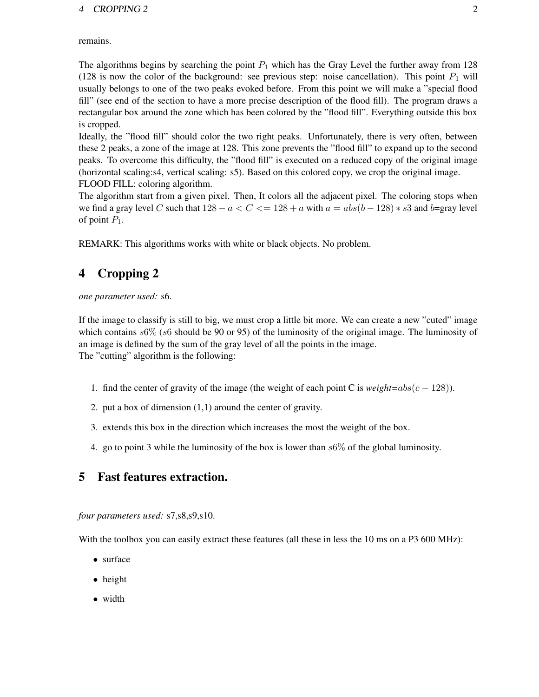remains.

The algorithms begins by searching the point  $P_1$  which has the Gray Level the further away from 128 (128 is now the color of the background: see previous step: noise cancellation). This point  $P_1$  will usually belongs to one of the two peaks evoked before. From this point we will make a "special flood fill" (see end of the section to have a more precise description of the flood fill). The program draws a rectangular box around the zone which has been colored by the "flood fill". Everything outside this box is cropped.

Ideally, the "flood fill" should color the two right peaks. Unfortunately, there is very often, between these 2 peaks, a zone of the image at 128. This zone prevents the "flood fill" to expand up to the second peaks. To overcome this difficulty, the "flood fill" is executed on a reduced copy of the original image (horizontal scaling:s4, vertical scaling: s5). Based on this colored copy, we crop the original image. FLOOD FILL: coloring algorithm.

The algorithm start from a given pixel. Then, It colors all the adjacent pixel. The coloring stops when we find a gray level C such that  $128 - a < C < 128 + a$  with  $a = abs(b - 128) * s3$  and b=gray level of point  $P_1$ .

REMARK: This algorithms works with white or black objects. No problem.

# **4 Cropping 2**

*one parameter used:* s6.

If the image to classify is still to big, we must crop a little bit more. We can create a new "cuted" image which contains  $s6\%$  (s6 should be 90 or 95) of the luminosity of the original image. The luminosity of an image is defined by the sum of the gray level of all the points in the image. The "cutting" algorithm is the following:

- 1. find the center of gravity of the image (the weight of each point C is *weight=*abs(c − 128)).
- 2. put a box of dimension (1,1) around the center of gravity.
- 3. extends this box in the direction which increases the most the weight of the box.
- 4. go to point 3 while the luminosity of the box is lower than  $s6\%$  of the global luminosity.

#### **5 Fast features extraction.**

*four parameters used:* s7,s8,s9,s10.

With the toolbox you can easily extract these features (all these in less the 10 ms on a P3 600 MHz):

- surface
- height
- width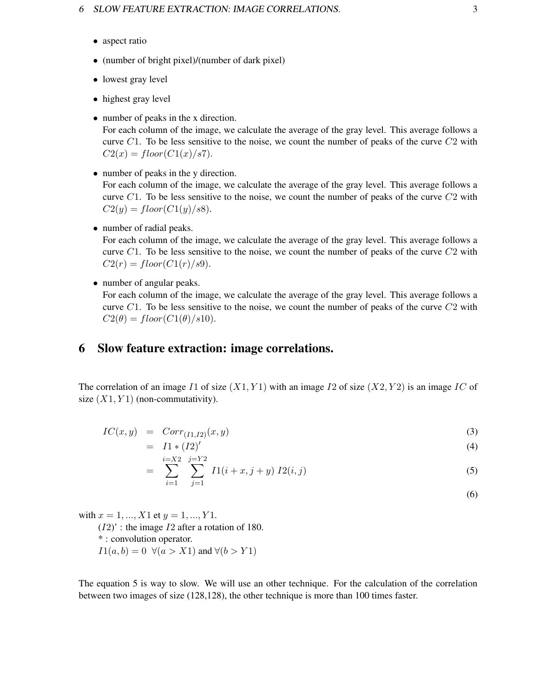- aspect ratio
- (number of bright pixel)/(number of dark pixel)
- lowest gray level
- highest gray level
- number of peaks in the x direction.

For each column of the image, we calculate the average of the gray level. This average follows a curve  $C1$ . To be less sensitive to the noise, we count the number of peaks of the curve  $C2$  with  $C2(x) = floor(C1(x)/s7).$ 

• number of peaks in the y direction.

For each column of the image, we calculate the average of the gray level. This average follows a curve  $C1$ . To be less sensitive to the noise, we count the number of peaks of the curve  $C2$  with  $C2(y) = floor(C1(y)/s8).$ 

• number of radial peaks.

For each column of the image, we calculate the average of the gray level. This average follows a curve  $C1$ . To be less sensitive to the noise, we count the number of peaks of the curve  $C2$  with  $C2(r) = floor(C1(r)/s9).$ 

• number of angular peaks.

For each column of the image, we calculate the average of the gray level. This average follows a curve  $C1$ . To be less sensitive to the noise, we count the number of peaks of the curve  $C2$  with  $C2(\theta) = floor(C1(\theta)/s10).$ 

### **6 Slow feature extraction: image correlations.**

The correlation of an image I1 of size  $(X1, Y1)$  with an image I2 of size  $(X2, Y2)$  is an image IC of size  $(X1, Y1)$  (non-commutativity).

$$
IC(x,y) = Corr(I1,I2)(x,y)
$$
\n(3)

$$
= I1 * (I2)'
$$
 (4)

$$
= \sum_{i=1}^{i=X2} \sum_{j=1}^{j=Y2} I1(i+x,j+y) I2(i,j)
$$
 (5)

$$
-(6)
$$

with  $x = 1, ..., X1$  et  $y = 1, ..., Y1$ .

 $(I2)'$ : the image  $I2$  after a rotation of 180. \* : convolution operator.

 $I1(a, b) = 0 \ \forall (a > X1)$  and  $\forall (b > Y1)$ 

The equation 5 is way to slow. We will use an other technique. For the calculation of the correlation between two images of size (128,128), the other technique is more than 100 times faster.